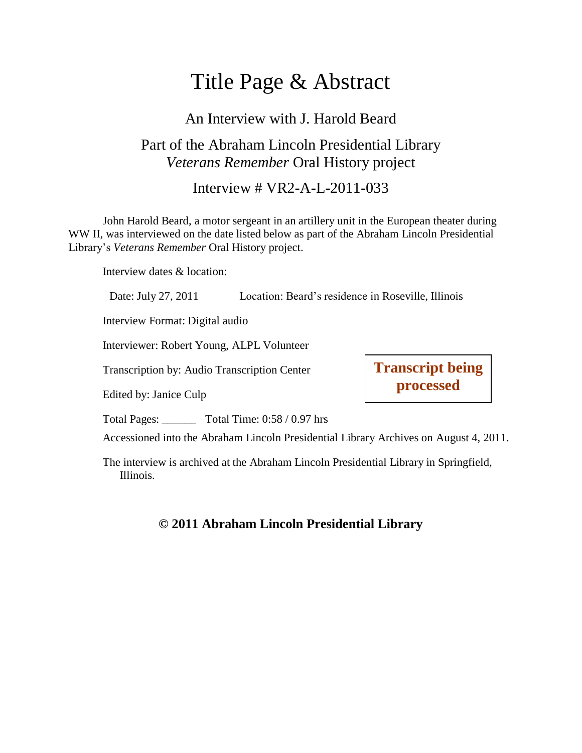# Title Page & Abstract

## An Interview with J. Harold Beard

## Part of the Abraham Lincoln Presidential Library *Veterans Remember* Oral History project

Interview # VR2-A-L-2011-033

John Harold Beard, a motor sergeant in an artillery unit in the European theater during WW II, was interviewed on the date listed below as part of the Abraham Lincoln Presidential Library's *Veterans Remember* Oral History project.

Interview dates & location:

Date: July 27, 2011 Location: Beard's residence in Roseville, Illinois

Interview Format: Digital audio

Interviewer: Robert Young, ALPL Volunteer

Transcription by: Audio Transcription Center

Edited by: Janice Culp

Total Pages: Total Time:  $0.58 / 0.97$  hrs

Accessioned into the Abraham Lincoln Presidential Library Archives on August 4, 2011.

**Transcript being processed**

The interview is archived at the Abraham Lincoln Presidential Library in Springfield, Illinois.

#### **© 2011 Abraham Lincoln Presidential Library**